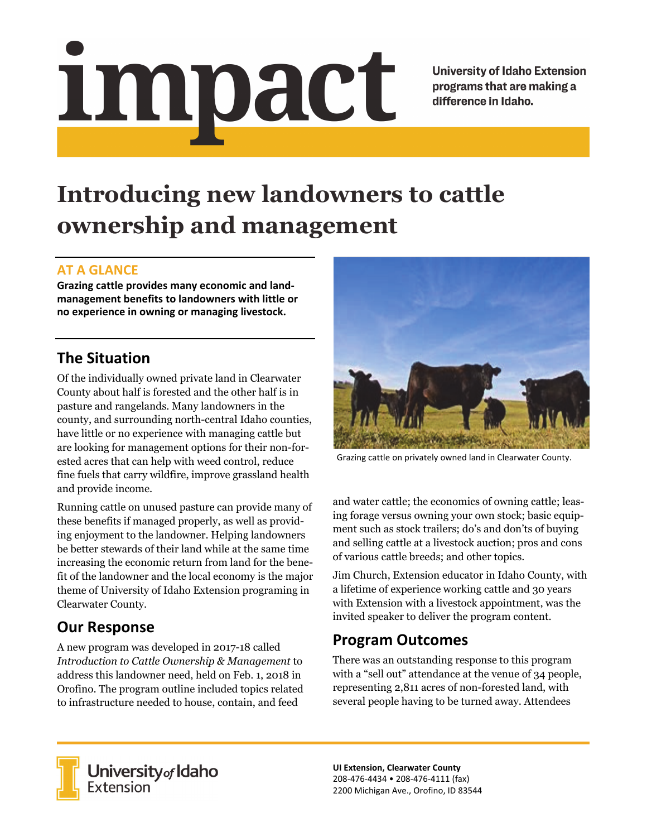<u>impact</u>

**University of Idaho Extension** programs that are making a difference in Idaho.

# **Introducing new landowners to cattle ownership and management**

#### **AT A GLANCE**

**Grazing cattle provides many economic and landmanagement benefits to landowners with little or no experience in owning or managing livestock.** 

### **The Situation**

Of the individually owned private land in Clearwater County about half is forested and the other half is in pasture and rangelands. Many landowners in the county, and surrounding north-central Idaho counties, have little or no experience with managing cattle but are looking for management options for their non-forested acres that can help with weed control, reduce fine fuels that carry wildfire, improve grassland health and provide income.

Running cattle on unused pasture can provide many of these benefits if managed properly, as well as providing enjoyment to the landowner. Helping landowners be better stewards of their land while at the same time increasing the economic return from land for the benefit of the landowner and the local economy is the major theme of University of Idaho Extension programing in Clearwater County.

# **Our Response**

A new program was developed in 2017-18 called *Introduction to Cattle Ownership & Management* to address this landowner need, held on Feb. 1, 2018 in Orofino. The program outline included topics related to infrastructure needed to house, contain, and feed



Grazing cattle on privately owned land in Clearwater County.

and water cattle; the economics of owning cattle; leasing forage versus owning your own stock; basic equipment such as stock trailers; do's and don'ts of buying and selling cattle at a livestock auction; pros and cons of various cattle breeds; and other topics.

Jim Church, Extension educator in Idaho County, with a lifetime of experience working cattle and 30 years with Extension with a livestock appointment, was the invited speaker to deliver the program content.

# **Program Outcomes**

There was an outstanding response to this program with a "sell out" attendance at the venue of 34 people, representing 2,811 acres of non-forested land, with several people having to be turned away. Attendees



**University** of Idaho<br>Extension

**UI Extension, Clearwater County**  208-476-4434 • 208-476-4111 (fax) 2200 Michigan Ave., Orofino, ID 83544